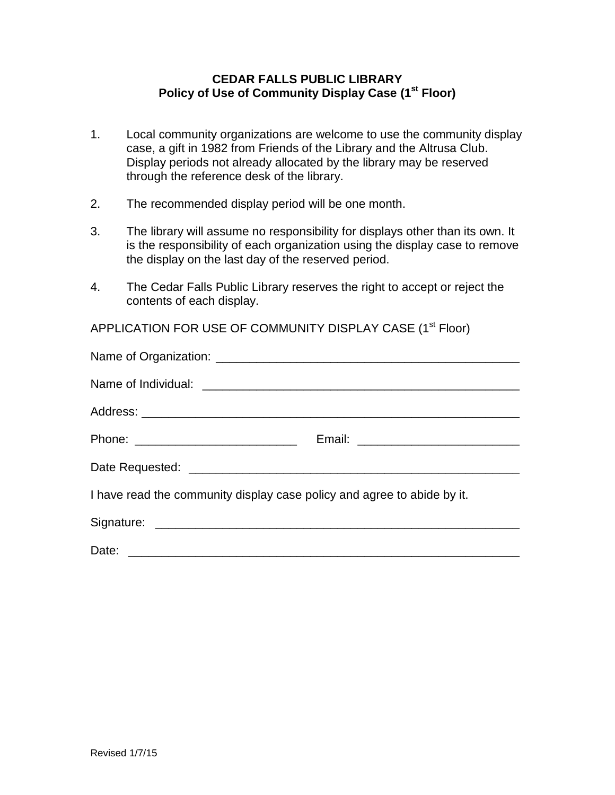## **CEDAR FALLS PUBLIC LIBRARY Policy of Use of Community Display Case (1st Floor)**

- 1. Local community organizations are welcome to use the community display case, a gift in 1982 from Friends of the Library and the Altrusa Club. Display periods not already allocated by the library may be reserved through the reference desk of the library.
- 2. The recommended display period will be one month.
- 3. The library will assume no responsibility for displays other than its own. It is the responsibility of each organization using the display case to remove the display on the last day of the reserved period.
- 4. The Cedar Falls Public Library reserves the right to accept or reject the contents of each display.

APPLICATION FOR USE OF COMMUNITY DISPLAY CASE (1<sup>st</sup> Floor)

| I have read the community display case policy and agree to abide by it. |  |
|-------------------------------------------------------------------------|--|
|                                                                         |  |
|                                                                         |  |